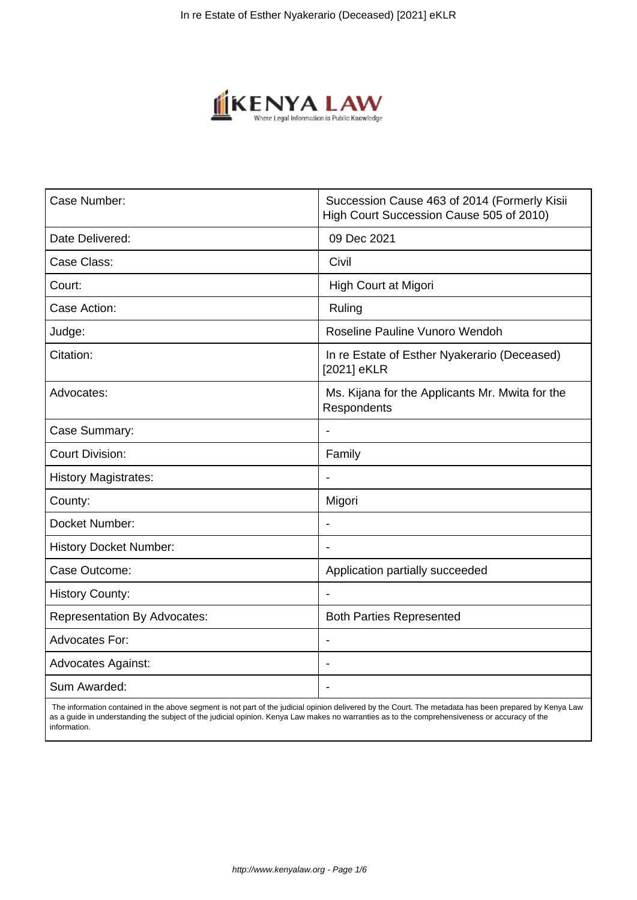

| Case Number:                        | Succession Cause 463 of 2014 (Formerly Kisii<br>High Court Succession Cause 505 of 2010) |
|-------------------------------------|------------------------------------------------------------------------------------------|
| Date Delivered:                     | 09 Dec 2021                                                                              |
| Case Class:                         | Civil                                                                                    |
| Court:                              | High Court at Migori                                                                     |
| Case Action:                        | Ruling                                                                                   |
| Judge:                              | Roseline Pauline Vunoro Wendoh                                                           |
| Citation:                           | In re Estate of Esther Nyakerario (Deceased)<br>[2021] eKLR                              |
| Advocates:                          | Ms. Kijana for the Applicants Mr. Mwita for the<br>Respondents                           |
| Case Summary:                       |                                                                                          |
| <b>Court Division:</b>              | Family                                                                                   |
| <b>History Magistrates:</b>         | $\overline{\phantom{0}}$                                                                 |
| County:                             | Migori                                                                                   |
| Docket Number:                      |                                                                                          |
| <b>History Docket Number:</b>       |                                                                                          |
| Case Outcome:                       | Application partially succeeded                                                          |
| <b>History County:</b>              |                                                                                          |
| <b>Representation By Advocates:</b> | <b>Both Parties Represented</b>                                                          |
| <b>Advocates For:</b>               | $\blacksquare$                                                                           |
| <b>Advocates Against:</b>           | $\blacksquare$                                                                           |
| Sum Awarded:                        |                                                                                          |

 The information contained in the above segment is not part of the judicial opinion delivered by the Court. The metadata has been prepared by Kenya Law as a guide in understanding the subject of the judicial opinion. Kenya Law makes no warranties as to the comprehensiveness or accuracy of the information.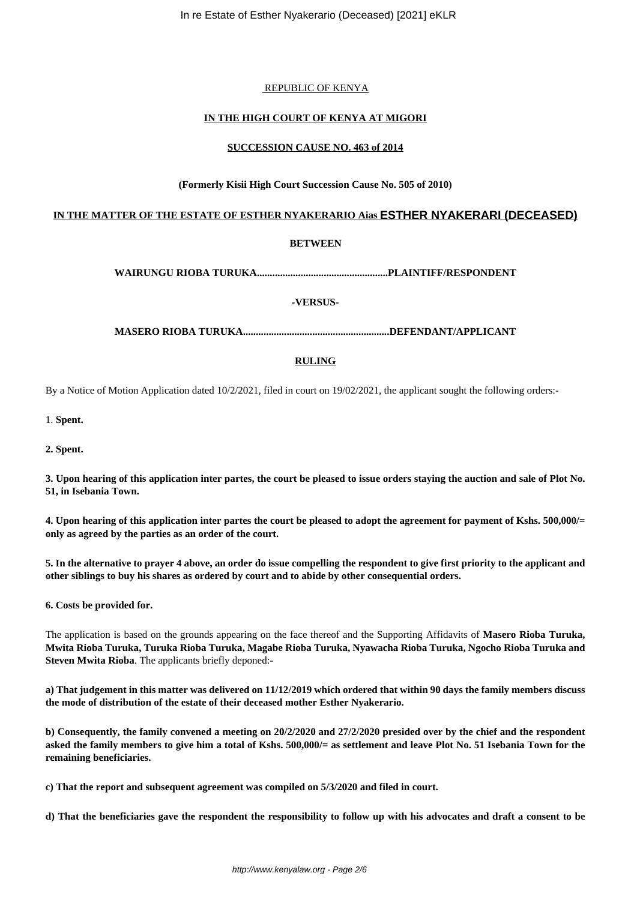## REPUBLIC OF KENYA

# **IN THE HIGH COURT OF KENYA AT MIGORI**

## **SUCCESSION CAUSE NO. 463 of 2014**

# **(Formerly Kisii High Court Succession Cause No. 505 of 2010)**

# **IN THE MATTER OF THE ESTATE OF ESTHER NYAKERARIO Aias ESTHER NYAKERARI (DECEASED)**

# **BETWEEN**

**WAIRUNGU RIOBA TURUKA...................................................PLAINTIFF/RESPONDENT**

**-VERSUS-**

**MASERO RIOBA TURUKA.........................................................DEFENDANT/APPLICANT**

# **RULING**

By a Notice of Motion Application dated 10/2/2021, filed in court on 19/02/2021, the applicant sought the following orders:-

1. **Spent.**

**2. Spent.**

**3. Upon hearing of this application inter partes, the court be pleased to issue orders staying the auction and sale of Plot No. 51, in Isebania Town.**

**4. Upon hearing of this application inter partes the court be pleased to adopt the agreement for payment of Kshs. 500,000/= only as agreed by the parties as an order of the court.** 

**5. In the alternative to prayer 4 above, an order do issue compelling the respondent to give first priority to the applicant and other siblings to buy his shares as ordered by court and to abide by other consequential orders.** 

**6. Costs be provided for.** 

The application is based on the grounds appearing on the face thereof and the Supporting Affidavits of **Masero Rioba Turuka, Mwita Rioba Turuka, Turuka Rioba Turuka, Magabe Rioba Turuka, Nyawacha Rioba Turuka, Ngocho Rioba Turuka and Steven Mwita Rioba**. The applicants briefly deponed:-

**a) That judgement in this matter was delivered on 11/12/2019 which ordered that within 90 days the family members discuss the mode of distribution of the estate of their deceased mother Esther Nyakerario.** 

**b) Consequently, the family convened a meeting on 20/2/2020 and 27/2/2020 presided over by the chief and the respondent asked the family members to give him a total of Kshs. 500,000/= as settlement and leave Plot No. 51 Isebania Town for the remaining beneficiaries.** 

**c) That the report and subsequent agreement was compiled on 5/3/2020 and filed in court.** 

**d) That the beneficiaries gave the respondent the responsibility to follow up with his advocates and draft a consent to be**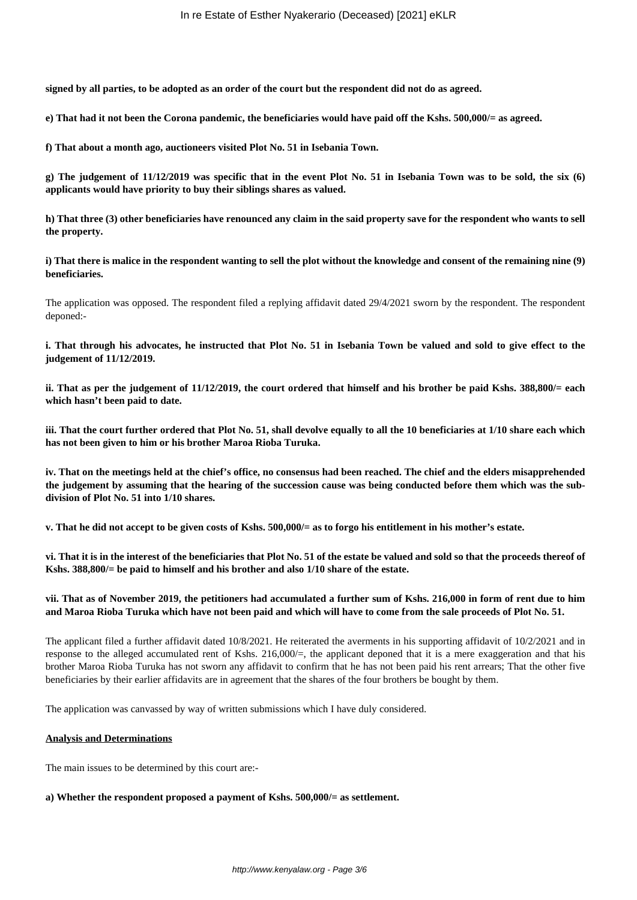**signed by all parties, to be adopted as an order of the court but the respondent did not do as agreed.** 

**e) That had it not been the Corona pandemic, the beneficiaries would have paid off the Kshs. 500,000/= as agreed.** 

**f) That about a month ago, auctioneers visited Plot No. 51 in Isebania Town.**

**g) The judgement of 11/12/2019 was specific that in the event Plot No. 51 in Isebania Town was to be sold, the six (6) applicants would have priority to buy their siblings shares as valued.** 

**h) That three (3) other beneficiaries have renounced any claim in the said property save for the respondent who wants to sell the property.** 

**i) That there is malice in the respondent wanting to sell the plot without the knowledge and consent of the remaining nine (9) beneficiaries.** 

The application was opposed. The respondent filed a replying affidavit dated 29/4/2021 sworn by the respondent. The respondent deponed:-

**i. That through his advocates, he instructed that Plot No. 51 in Isebania Town be valued and sold to give effect to the judgement of 11/12/2019.** 

**ii. That as per the judgement of 11/12/2019, the court ordered that himself and his brother be paid Kshs. 388,800/= each which hasn't been paid to date.**

**iii. That the court further ordered that Plot No. 51, shall devolve equally to all the 10 beneficiaries at 1/10 share each which has not been given to him or his brother Maroa Rioba Turuka.**

**iv. That on the meetings held at the chief's office, no consensus had been reached. The chief and the elders misapprehended the judgement by assuming that the hearing of the succession cause was being conducted before them which was the subdivision of Plot No. 51 into 1/10 shares.** 

**v. That he did not accept to be given costs of Kshs. 500,000/= as to forgo his entitlement in his mother's estate.** 

**vi. That it is in the interest of the beneficiaries that Plot No. 51 of the estate be valued and sold so that the proceeds thereof of Kshs. 388,800/= be paid to himself and his brother and also 1/10 share of the estate.** 

#### **vii. That as of November 2019, the petitioners had accumulated a further sum of Kshs. 216,000 in form of rent due to him and Maroa Rioba Turuka which have not been paid and which will have to come from the sale proceeds of Plot No. 51.**

The applicant filed a further affidavit dated 10/8/2021. He reiterated the averments in his supporting affidavit of 10/2/2021 and in response to the alleged accumulated rent of Kshs. 216,000 $/$ =, the applicant deponed that it is a mere exaggeration and that his brother Maroa Rioba Turuka has not sworn any affidavit to confirm that he has not been paid his rent arrears; That the other five beneficiaries by their earlier affidavits are in agreement that the shares of the four brothers be bought by them.

The application was canvassed by way of written submissions which I have duly considered.

## **Analysis and Determinations**

The main issues to be determined by this court are:-

#### **a) Whether the respondent proposed a payment of Kshs. 500,000/= as settlement.**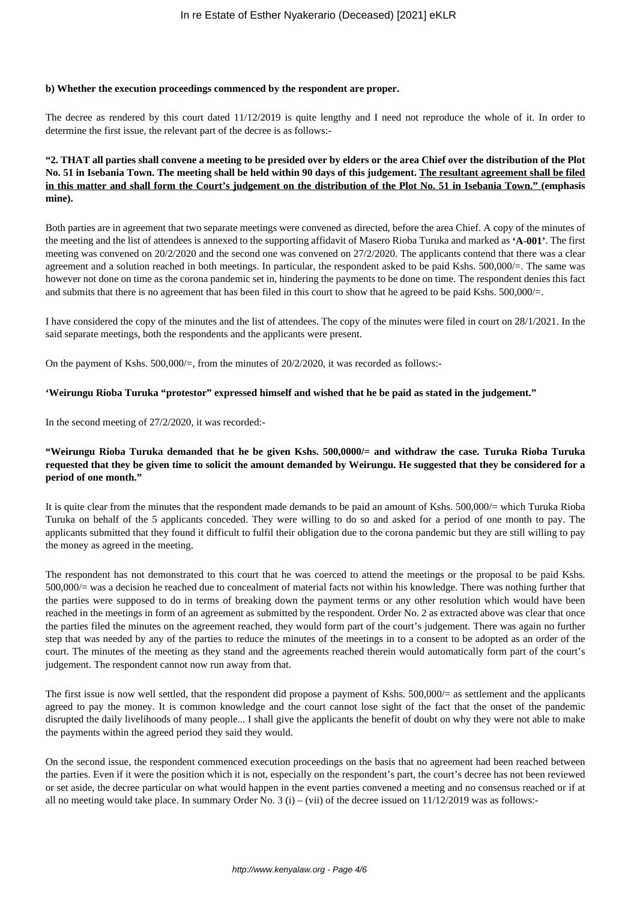## **b) Whether the execution proceedings commenced by the respondent are proper.**

The decree as rendered by this court dated 11/12/2019 is quite lengthy and I need not reproduce the whole of it. In order to determine the first issue, the relevant part of the decree is as follows:-

# **"2. THAT all parties shall convene a meeting to be presided over by elders or the area Chief over the distribution of the Plot No. 51 in Isebania Town. The meeting shall be held within 90 days of this judgement. The resultant agreement shall be filed in this matter and shall form the Court's judgement on the distribution of the Plot No. 51 in Isebania Town." (emphasis mine).**

Both parties are in agreement that two separate meetings were convened as directed, before the area Chief. A copy of the minutes of the meeting and the list of attendees is annexed to the supporting affidavit of Masero Rioba Turuka and marked as **'A-001'**. The first meeting was convened on 20/2/2020 and the second one was convened on 27/2/2020. The applicants contend that there was a clear agreement and a solution reached in both meetings. In particular, the respondent asked to be paid Kshs. 500,000/=. The same was however not done on time as the corona pandemic set in, hindering the payments to be done on time. The respondent denies this fact and submits that there is no agreement that has been filed in this court to show that he agreed to be paid Kshs. 500,000/=.

I have considered the copy of the minutes and the list of attendees. The copy of the minutes were filed in court on 28/1/2021. In the said separate meetings, both the respondents and the applicants were present.

On the payment of Kshs.  $500,000/=$ , from the minutes of  $20/2/2020$ , it was recorded as follows:-

#### **'Weirungu Rioba Turuka "protestor" expressed himself and wished that he be paid as stated in the judgement."**

In the second meeting of 27/2/2020, it was recorded:-

# **"Weirungu Rioba Turuka demanded that he be given Kshs. 500,0000/= and withdraw the case. Turuka Rioba Turuka requested that they be given time to solicit the amount demanded by Weirungu. He suggested that they be considered for a period of one month."**

It is quite clear from the minutes that the respondent made demands to be paid an amount of Kshs. 500,000/= which Turuka Rioba Turuka on behalf of the 5 applicants conceded. They were willing to do so and asked for a period of one month to pay. The applicants submitted that they found it difficult to fulfil their obligation due to the corona pandemic but they are still willing to pay the money as agreed in the meeting.

The respondent has not demonstrated to this court that he was coerced to attend the meetings or the proposal to be paid Kshs. 500,000/= was a decision he reached due to concealment of material facts not within his knowledge. There was nothing further that the parties were supposed to do in terms of breaking down the payment terms or any other resolution which would have been reached in the meetings in form of an agreement as submitted by the respondent. Order No. 2 as extracted above was clear that once the parties filed the minutes on the agreement reached, they would form part of the court's judgement. There was again no further step that was needed by any of the parties to reduce the minutes of the meetings in to a consent to be adopted as an order of the court. The minutes of the meeting as they stand and the agreements reached therein would automatically form part of the court's judgement. The respondent cannot now run away from that.

The first issue is now well settled, that the respondent did propose a payment of Kshs. 500,000/= as settlement and the applicants agreed to pay the money. It is common knowledge and the court cannot lose sight of the fact that the onset of the pandemic disrupted the daily livelihoods of many people... I shall give the applicants the benefit of doubt on why they were not able to make the payments within the agreed period they said they would.

On the second issue, the respondent commenced execution proceedings on the basis that no agreement had been reached between the parties. Even if it were the position which it is not, especially on the respondent's part, the court's decree has not been reviewed or set aside, the decree particular on what would happen in the event parties convened a meeting and no consensus reached or if at all no meeting would take place. In summary Order No. 3 (i) – (vii) of the decree issued on  $11/12/2019$  was as follows:-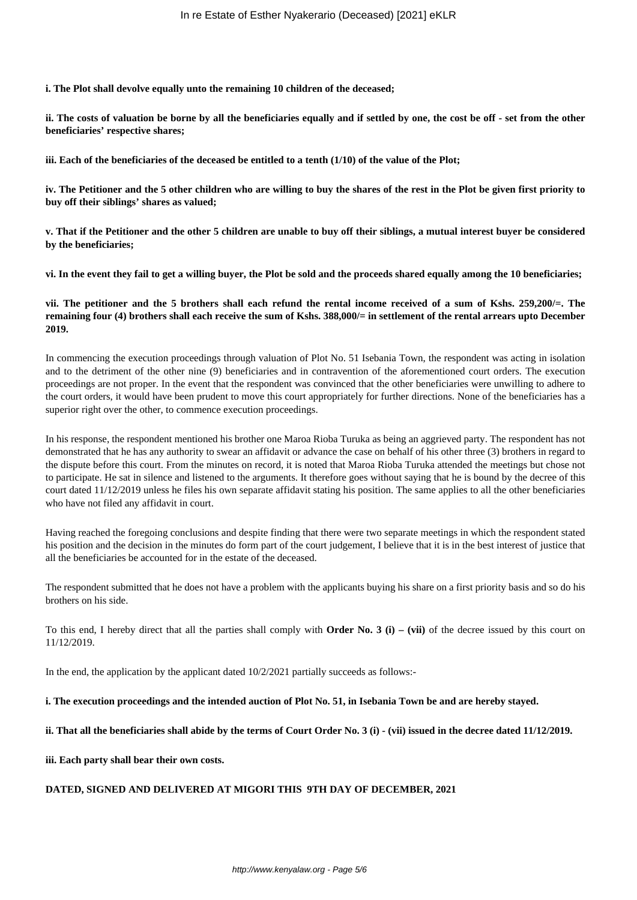**i. The Plot shall devolve equally unto the remaining 10 children of the deceased;**

**ii. The costs of valuation be borne by all the beneficiaries equally and if settled by one, the cost be off - set from the other beneficiaries' respective shares;**

**iii. Each of the beneficiaries of the deceased be entitled to a tenth (1/10) of the value of the Plot;**

**iv. The Petitioner and the 5 other children who are willing to buy the shares of the rest in the Plot be given first priority to buy off their siblings' shares as valued;**

**v. That if the Petitioner and the other 5 children are unable to buy off their siblings, a mutual interest buyer be considered by the beneficiaries;**

**vi. In the event they fail to get a willing buyer, the Plot be sold and the proceeds shared equally among the 10 beneficiaries;**

**vii. The petitioner and the 5 brothers shall each refund the rental income received of a sum of Kshs. 259,200/=. The remaining four (4) brothers shall each receive the sum of Kshs. 388,000/= in settlement of the rental arrears upto December 2019.** 

In commencing the execution proceedings through valuation of Plot No. 51 Isebania Town, the respondent was acting in isolation and to the detriment of the other nine (9) beneficiaries and in contravention of the aforementioned court orders. The execution proceedings are not proper. In the event that the respondent was convinced that the other beneficiaries were unwilling to adhere to the court orders, it would have been prudent to move this court appropriately for further directions. None of the beneficiaries has a superior right over the other, to commence execution proceedings.

In his response, the respondent mentioned his brother one Maroa Rioba Turuka as being an aggrieved party. The respondent has not demonstrated that he has any authority to swear an affidavit or advance the case on behalf of his other three (3) brothers in regard to the dispute before this court. From the minutes on record, it is noted that Maroa Rioba Turuka attended the meetings but chose not to participate. He sat in silence and listened to the arguments. It therefore goes without saying that he is bound by the decree of this court dated 11/12/2019 unless he files his own separate affidavit stating his position. The same applies to all the other beneficiaries who have not filed any affidavit in court.

Having reached the foregoing conclusions and despite finding that there were two separate meetings in which the respondent stated his position and the decision in the minutes do form part of the court judgement, I believe that it is in the best interest of justice that all the beneficiaries be accounted for in the estate of the deceased.

The respondent submitted that he does not have a problem with the applicants buying his share on a first priority basis and so do his brothers on his side.

To this end, I hereby direct that all the parties shall comply with **Order No. 3 (i) – (vii)** of the decree issued by this court on 11/12/2019.

In the end, the application by the applicant dated  $10/2/2021$  partially succeeds as follows:-

#### **i. The execution proceedings and the intended auction of Plot No. 51, in Isebania Town be and are hereby stayed.**

#### **ii. That all the beneficiaries shall abide by the terms of Court Order No. 3 (i) - (vii) issued in the decree dated 11/12/2019.**

**iii. Each party shall bear their own costs.** 

#### **DATED, SIGNED AND DELIVERED AT MIGORI THIS 9TH DAY OF DECEMBER, 2021**